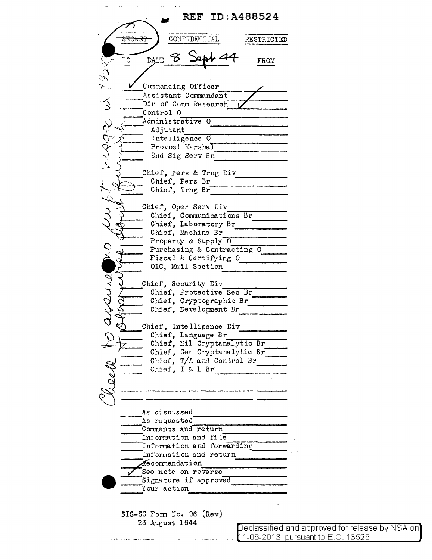**REF ID:A488524** CONFIDENTIAL **SECRET** RESTRICTED  $\mathcal{Z}$  $\overline{10}$ **DATE** FROM Commanding Officer Assistant Commandant  $\tilde{\mathcal{E}}$ Dir of Comm Research Control O  $\delta$ Administrative O Adjutant Intelligence 0 Provost Marshal 2nd Sig Serv Bn Chief, Pers & Trng Div Chief, Pers Br Chief, Trng Br Chief, Oper Serv Div Chief, Communications Br Property & Supply 0 Purchasing & Contracting O Fiscal & Certifying O OIC, Mail Section Chief, Security Div Chief, Protective Sec Br Chief, Cryptographic Br Chief, Development Br Chief. Intelligence Div Chief, Language Br Chief, Mil Cryptanalytic Br Chief, Gen Cryptanalytic Br Chief,  $T/A$  and Control Br Chief, I & L Br As discussed As requested Comments and return Information and file Information and forwarding Information and return Mecommendation See note on reverse Signature if approved Your action SIS-SC Form No. 96 (Rev) 23 August 1944

Declassified and approved for release by NSA on 11-06-2013 pursuant to E.O. 13526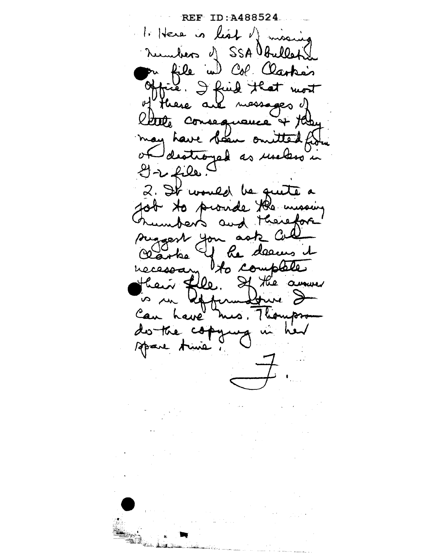REF ID: A488524 1. Here is list of missing numbers of SSA Obullets pr file we Col Clarke's<br>Office. I find that most Here are messages d latte consequance + the destroyed as use less in of  $2222$ 2. It would be quite a for to provide the messing uniferts and therefore suggest you as he deems it  $k_{\rm a}$ to complete necessary Lle. If the annual can have mes Thompson fure  $\rightarrow$ do the cop Amba Apare Anie !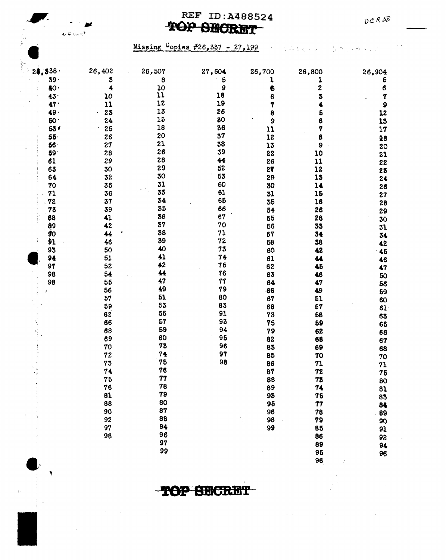## REF ID:A488524 TOP SECRET



 $\frac{1}{\frac{1}{\alpha}}$  ,

Missing Copies #26,337 - 27,199

 $\mathcal{A}^{\mathcal{A}}(\mathcal{A})$  and  $\mathcal{A}^{\mathcal{A}}(\mathcal{A})$  and  $\mathcal{A}^{\mathcal{A}}(\mathcal{A})$ 

 $\sim 10^6$ 

| 24,338          | 26,402 | 26,507 | 27,604 | 26,700 | 26,800 | 26,904    |
|-----------------|--------|--------|--------|--------|--------|-----------|
| $39 -$          | 3      | 8      | 5      |        | ı      | 5         |
| 40 <sub>1</sub> | 4      | 10     | 9      | 6      | 2      | 6         |
| 43 <sup>°</sup> | 10     | 11     | 18     | 6      |        | 7         |
| 47 <sup>1</sup> | 11     | 12     | 19     | 7      |        | $\pmb{9}$ |
| 49.             | 23     | 13     | 26     | 8      |        | 12        |
| <b>50</b>       | 24     | 15     | 30     | 9      |        | 13        |
| 53 <sub>0</sub> | 25     | 18     | 36     | 11     |        | 17        |
| 55 <sub>1</sub> | 26     | 20     | 37     | 12     |        | 18        |
| 56              | 27     | 21     | 38     | 13     | 9      | 20        |
| $59 -$          | 28     | 26     | 39     | 22     | 10     | 21        |
| 61              | 29     | 28     | 44     | 26     | 11     | 22        |
| 63              | 30     | 29     | 52     | 27     | 12     | 23        |
| 64              | 32     | 30     | 53     | 29     | 15     | 24        |
| 70              | 35     | 31     | 60     | 30     | 14     | 26        |
| 71              | 36     | 33     | 61     | 31     | 15     | 27        |
| 72              | 37     | 34     | 65     | 35     | 16     | 28        |
| 73              | 39     | 35     | 66     | 54     | 26     | 29        |
| 88              | 41     | 36     | 67     | 55     | 28     | 30        |
| 89              | 42     | 37     | 70     | 56     | 33     | 31        |
| \$0             | 44     | 38     | 71     | 57     | 34     | 34        |
| 91,             | 46     | 39     | 72     | 58     | 58     | 42        |
| 93              | 50     | 40     | 73     | 60     | 42     | 45        |
| 94              | 51     | 41     | 74     | 61     | 44     | 46        |
| 97              | 52     | 42     | 76     | 62     | 45     | 47        |
| 98              | 54     | 44     | 76     | 63     | 46     | 50        |
| 98              | 56     | 47     | 77     | 64     | 47     | 56        |
|                 | 56     | 49     | 79     | $-66$  | 49     | 59        |
|                 | 57     | 51     | 80     | 67     | 51     | 60        |
|                 | 59     | 53     | 83     | 68     | 57     | 61        |
|                 | 62     | 55     | 91     | 73     | 58     | 63        |
|                 | 66     | 57     | 93     | 76     | 59     | 65        |
|                 | 68     | 59     | 94     | 79     | 62     | 66        |
|                 | 69     | 60     | 95     | 82     | 68     | 67        |
|                 | 70     | 73     | 96     | 83     | 69     | 68        |
|                 | 72     | 74     | 97     | 85     | 70     | 70        |
|                 | 73     | 75     | 98     | 86     | 71     | 71        |
| ۱.,             | 74     | 76     |        | 87     | 72     | 75        |
|                 | 76     | 77     |        | 86     | 73     | 80        |
|                 | 76     | 78     |        | 89     | 74     | 81        |
|                 | 81     | 79     |        | 93     | 75     | 83        |
|                 | 88     | 80     |        | 95     | 77     | 84        |
|                 | 90     | 87     |        | 96     | 78     | 89        |
|                 | 92     | 88     |        | 98     | 79     | 90        |
|                 | 97     | 94     |        | 99     | 86     | 91        |
|                 | 98     | 96     |        |        | 86     | 92        |
|                 |        | 97     |        |        | 89     | 94        |
|                 |        | 99     |        |        | 95     | 96        |
|                 |        |        |        |        | 96     |           |

TOP SECRET

 $\label{eq:2.1} \mathcal{L}^{\mathcal{A}}(\mathbf{y},\mathbf{y})=\mathcal{L}^{\mathcal{A}}(\mathbf{y},\mathbf{y})=\mathcal{L}^{\mathcal{A}}(\mathbf{y},\mathbf{y})$